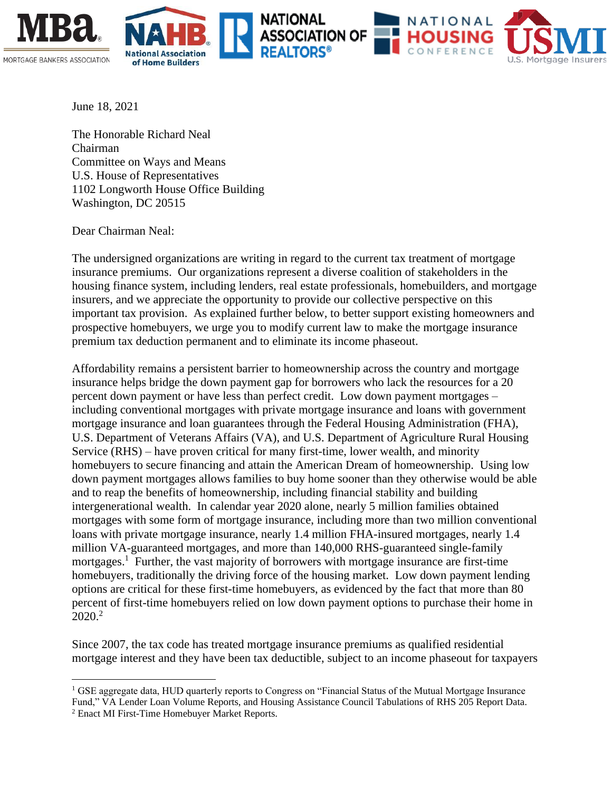





June 18, 2021

The Honorable Richard Neal Chairman Committee on Ways and Means U.S. House of Representatives 1102 Longworth House Office Building Washington, DC 20515

Dear Chairman Neal:

The undersigned organizations are writing in regard to the current tax treatment of mortgage insurance premiums. Our organizations represent a diverse coalition of stakeholders in the housing finance system, including lenders, real estate professionals, homebuilders, and mortgage insurers, and we appreciate the opportunity to provide our collective perspective on this important tax provision. As explained further below, to better support existing homeowners and prospective homebuyers, we urge you to modify current law to make the mortgage insurance premium tax deduction permanent and to eliminate its income phaseout.

NATIONAL

Affordability remains a persistent barrier to homeownership across the country and mortgage insurance helps bridge the down payment gap for borrowers who lack the resources for a 20 percent down payment or have less than perfect credit. Low down payment mortgages – including conventional mortgages with private mortgage insurance and loans with government mortgage insurance and loan guarantees through the Federal Housing Administration (FHA), U.S. Department of Veterans Affairs (VA), and U.S. Department of Agriculture Rural Housing Service (RHS) – have proven critical for many first-time, lower wealth, and minority homebuyers to secure financing and attain the American Dream of homeownership. Using low down payment mortgages allows families to buy home sooner than they otherwise would be able and to reap the benefits of homeownership, including financial stability and building intergenerational wealth. In calendar year 2020 alone, nearly 5 million families obtained mortgages with some form of mortgage insurance, including more than two million conventional loans with private mortgage insurance, nearly 1.4 million FHA-insured mortgages, nearly 1.4 million VA-guaranteed mortgages, and more than 140,000 RHS-guaranteed single-family mortgages.<sup>1</sup> Further, the vast majority of borrowers with mortgage insurance are first-time homebuyers, traditionally the driving force of the housing market. Low down payment lending options are critical for these first-time homebuyers, as evidenced by the fact that more than 80 percent of first-time homebuyers relied on low down payment options to purchase their home in  $2020.<sup>2</sup>$ 

Since 2007, the tax code has treated mortgage insurance premiums as qualified residential mortgage interest and they have been tax deductible, subject to an income phaseout for taxpayers

<sup>&</sup>lt;sup>1</sup> GSE aggregate data, HUD quarterly reports to Congress on "Financial Status of the Mutual Mortgage Insurance Fund," VA Lender Loan Volume Reports, and Housing Assistance Council Tabulations of RHS 205 Report Data.

<sup>2</sup> Enact MI First-Time Homebuyer Market Reports.